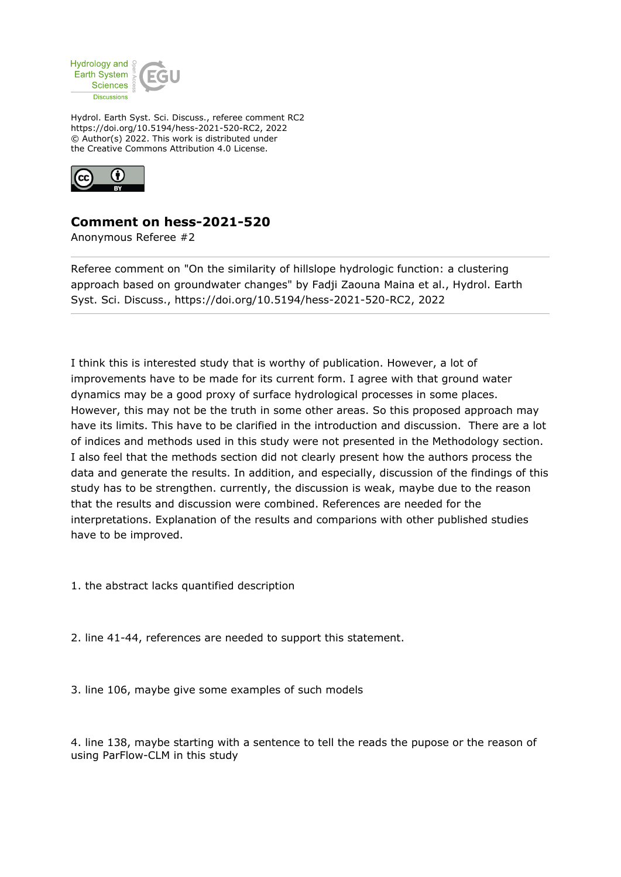

Hydrol. Earth Syst. Sci. Discuss., referee comment RC2 https://doi.org/10.5194/hess-2021-520-RC2, 2022 © Author(s) 2022. This work is distributed under the Creative Commons Attribution 4.0 License.



## **Comment on hess-2021-520**

Anonymous Referee #2

Referee comment on "On the similarity of hillslope hydrologic function: a clustering approach based on groundwater changes" by Fadji Zaouna Maina et al., Hydrol. Earth Syst. Sci. Discuss., https://doi.org/10.5194/hess-2021-520-RC2, 2022

I think this is interested study that is worthy of publication. However, a lot of improvements have to be made for its current form. I agree with that ground water dynamics may be a good proxy of surface hydrological processes in some places. However, this may not be the truth in some other areas. So this proposed approach may have its limits. This have to be clarified in the introduction and discussion. There are a lot of indices and methods used in this study were not presented in the Methodology section. I also feel that the methods section did not clearly present how the authors process the data and generate the results. In addition, and especially, discussion of the findings of this study has to be strengthen. currently, the discussion is weak, maybe due to the reason that the results and discussion were combined. References are needed for the interpretations. Explanation of the results and comparions with other published studies have to be improved.

1. the abstract lacks quantified description

2. line 41-44, references are needed to support this statement.

3. line 106, maybe give some examples of such models

4. line 138, maybe starting with a sentence to tell the reads the pupose or the reason of using ParFlow-CLM in this study